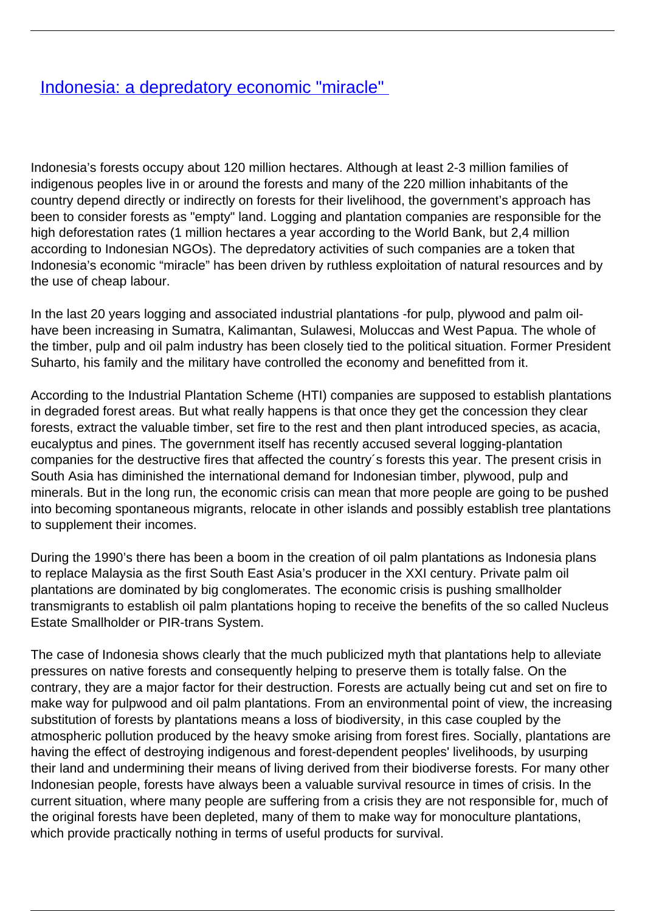## [Indonesia: a depredatory economic "miracle"](/bulletin-articles/indonesia-a-depredatory-economic-miracle)

Indonesia's forests occupy about 120 million hectares. Although at least 2-3 million families of indigenous peoples live in or around the forests and many of the 220 million inhabitants of the country depend directly or indirectly on forests for their livelihood, the government's approach has been to consider forests as "empty" land. Logging and plantation companies are responsible for the high deforestation rates (1 million hectares a year according to the World Bank, but 2,4 million according to Indonesian NGOs). The depredatory activities of such companies are a token that Indonesia's economic "miracle" has been driven by ruthless exploitation of natural resources and by the use of cheap labour.

In the last 20 years logging and associated industrial plantations -for pulp, plywood and palm oilhave been increasing in Sumatra, Kalimantan, Sulawesi, Moluccas and West Papua. The whole of the timber, pulp and oil palm industry has been closely tied to the political situation. Former President Suharto, his family and the military have controlled the economy and benefitted from it.

According to the Industrial Plantation Scheme (HTI) companies are supposed to establish plantations in degraded forest areas. But what really happens is that once they get the concession they clear forests, extract the valuable timber, set fire to the rest and then plant introduced species, as acacia, eucalyptus and pines. The government itself has recently accused several logging-plantation companies for the destructive fires that affected the country´s forests this year. The present crisis in South Asia has diminished the international demand for Indonesian timber, plywood, pulp and minerals. But in the long run, the economic crisis can mean that more people are going to be pushed into becoming spontaneous migrants, relocate in other islands and possibly establish tree plantations to supplement their incomes.

During the 1990's there has been a boom in the creation of oil palm plantations as Indonesia plans to replace Malaysia as the first South East Asia's producer in the XXI century. Private palm oil plantations are dominated by big conglomerates. The economic crisis is pushing smallholder transmigrants to establish oil palm plantations hoping to receive the benefits of the so called Nucleus Estate Smallholder or PIR-trans System.

The case of Indonesia shows clearly that the much publicized myth that plantations help to alleviate pressures on native forests and consequently helping to preserve them is totally false. On the contrary, they are a major factor for their destruction. Forests are actually being cut and set on fire to make way for pulpwood and oil palm plantations. From an environmental point of view, the increasing substitution of forests by plantations means a loss of biodiversity, in this case coupled by the atmospheric pollution produced by the heavy smoke arising from forest fires. Socially, plantations are having the effect of destroying indigenous and forest-dependent peoples' livelihoods, by usurping their land and undermining their means of living derived from their biodiverse forests. For many other Indonesian people, forests have always been a valuable survival resource in times of crisis. In the current situation, where many people are suffering from a crisis they are not responsible for, much of the original forests have been depleted, many of them to make way for monoculture plantations, which provide practically nothing in terms of useful products for survival.